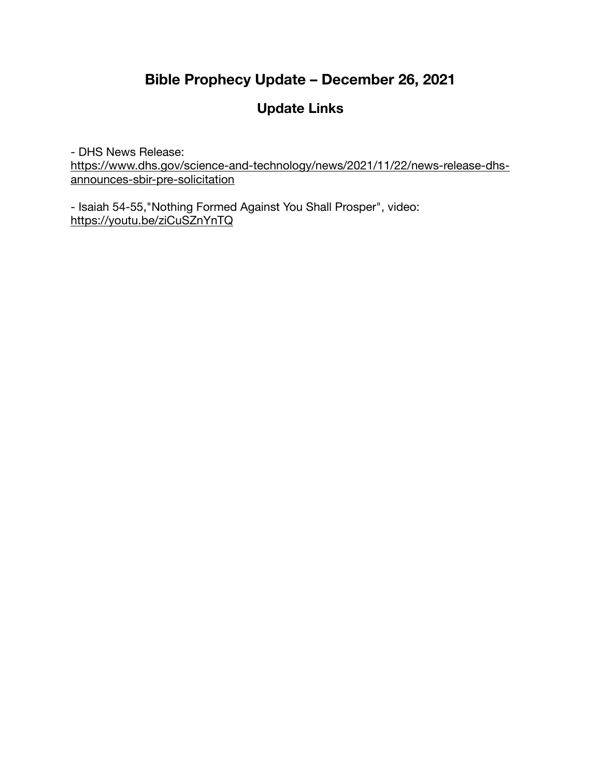# **Bible Prophecy Update – December 26, 2021**

# **Update Links**

- DHS News Release: [https://www.dhs.gov/science-and-technology/news/2021/11/22/news-release-dhs](https://www.dhs.gov/science-and-technology/news/2021/11/22/news-release-dhs-announces-sbir-pre-solicitation)[announces-sbir-pre-solicitation](https://www.dhs.gov/science-and-technology/news/2021/11/22/news-release-dhs-announces-sbir-pre-solicitation)

- Isaiah 54-55,"Nothing Formed Against You Shall Prosper", video: <https://youtu.be/ziCuSZnYnTQ>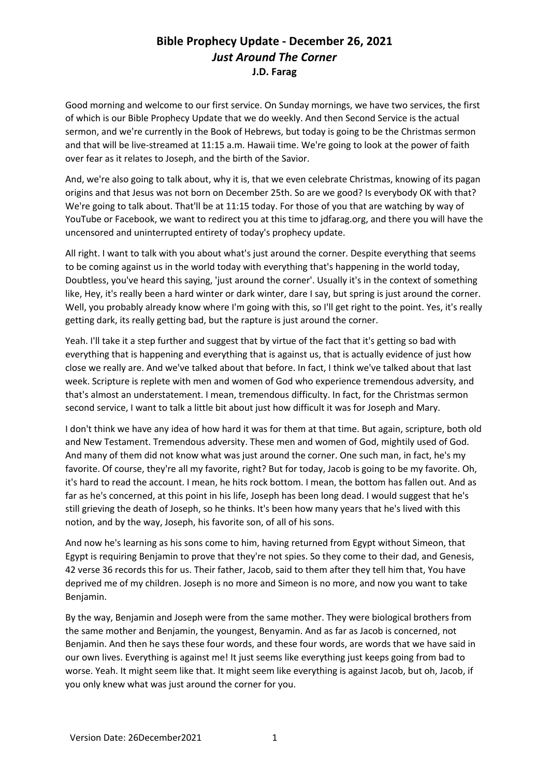Good morning and welcome to our first service. On Sunday mornings, we have two services, the first of which is our Bible Prophecy Update that we do weekly. And then Second Service is the actual sermon, and we're currently in the Book of Hebrews, but today is going to be the Christmas sermon and that will be live-streamed at 11:15 a.m. Hawaii time. We're going to look at the power of faith over fear as it relates to Joseph, and the birth of the Savior.

And, we're also going to talk about, why it is, that we even celebrate Christmas, knowing of its pagan origins and that Jesus was not born on December 25th. So are we good? Is everybody OK with that? We're going to talk about. That'll be at 11:15 today. For those of you that are watching by way of YouTube or Facebook, we want to redirect you at this time to jdfarag.org, and there you will have the uncensored and uninterrupted entirety of today's prophecy update.

All right. I want to talk with you about what's just around the corner. Despite everything that seems to be coming against us in the world today with everything that's happening in the world today, Doubtless, you've heard this saying, 'just around the corner'. Usually it's in the context of something like, Hey, it's really been a hard winter or dark winter, dare I say, but spring is just around the corner. Well, you probably already know where I'm going with this, so I'll get right to the point. Yes, it's really getting dark, its really getting bad, but the rapture is just around the corner.

Yeah. I'll take it a step further and suggest that by virtue of the fact that it's getting so bad with everything that is happening and everything that is against us, that is actually evidence of just how close we really are. And we've talked about that before. In fact, I think we've talked about that last week. Scripture is replete with men and women of God who experience tremendous adversity, and that's almost an understatement. I mean, tremendous difficulty. In fact, for the Christmas sermon second service, I want to talk a little bit about just how difficult it was for Joseph and Mary.

I don't think we have any idea of how hard it was for them at that time. But again, scripture, both old and New Testament. Tremendous adversity. These men and women of God, mightily used of God. And many of them did not know what was just around the corner. One such man, in fact, he's my favorite. Of course, they're all my favorite, right? But for today, Jacob is going to be my favorite. Oh, it's hard to read the account. I mean, he hits rock bottom. I mean, the bottom has fallen out. And as far as he's concerned, at this point in his life, Joseph has been long dead. I would suggest that he's still grieving the death of Joseph, so he thinks. It's been how many years that he's lived with this notion, and by the way, Joseph, his favorite son, of all of his sons.

And now he's learning as his sons come to him, having returned from Egypt without Simeon, that Egypt is requiring Benjamin to prove that they're not spies. So they come to their dad, and Genesis, 42 verse 36 records this for us. Their father, Jacob, said to them after they tell him that, You have deprived me of my children. Joseph is no more and Simeon is no more, and now you want to take Benjamin.

By the way, Benjamin and Joseph were from the same mother. They were biological brothers from the same mother and Benjamin, the youngest, Benyamin. And as far as Jacob is concerned, not Benjamin. And then he says these four words, and these four words, are words that we have said in our own lives. Everything is against me! It just seems like everything just keeps going from bad to worse. Yeah. It might seem like that. It might seem like everything is against Jacob, but oh, Jacob, if you only knew what was just around the corner for you.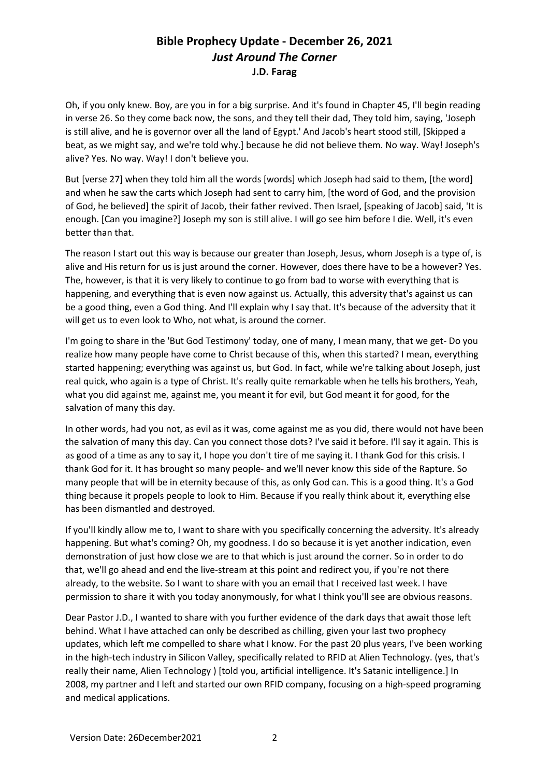Oh, if you only knew. Boy, are you in for a big surprise. And it's found in Chapter 45, I'll begin reading in verse 26. So they come back now, the sons, and they tell their dad, They told him, saying, 'Joseph is still alive, and he is governor over all the land of Egypt.' And Jacob's heart stood still, [Skipped a beat, as we might say, and we're told why.] because he did not believe them. No way. Way! Joseph's alive? Yes. No way. Way! I don't believe you.

But [verse 27] when they told him all the words [words] which Joseph had said to them, [the word] and when he saw the carts which Joseph had sent to carry him, [the word of God, and the provision of God, he believed] the spirit of Jacob, their father revived. Then Israel, [speaking of Jacob] said, 'It is enough. [Can you imagine?] Joseph my son is still alive. I will go see him before I die. Well, it's even better than that.

The reason I start out this way is because our greater than Joseph, Jesus, whom Joseph is a type of, is alive and His return for us is just around the corner. However, does there have to be a however? Yes. The, however, is that it is very likely to continue to go from bad to worse with everything that is happening, and everything that is even now against us. Actually, this adversity that's against us can be a good thing, even a God thing. And I'll explain why I say that. It's because of the adversity that it will get us to even look to Who, not what, is around the corner.

I'm going to share in the 'But God Testimony' today, one of many, I mean many, that we get- Do you realize how many people have come to Christ because of this, when this started? I mean, everything started happening; everything was against us, but God. In fact, while we're talking about Joseph, just real quick, who again is a type of Christ. It's really quite remarkable when he tells his brothers, Yeah, what you did against me, against me, you meant it for evil, but God meant it for good, for the salvation of many this day.

In other words, had you not, as evil as it was, come against me as you did, there would not have been the salvation of many this day. Can you connect those dots? I've said it before. I'll say it again. This is as good of a time as any to say it, I hope you don't tire of me saying it. I thank God for this crisis. I thank God for it. It has brought so many people- and we'll never know this side of the Rapture. So many people that will be in eternity because of this, as only God can. This is a good thing. It's a God thing because it propels people to look to Him. Because if you really think about it, everything else has been dismantled and destroyed.

If you'll kindly allow me to, I want to share with you specifically concerning the adversity. It's already happening. But what's coming? Oh, my goodness. I do so because it is yet another indication, even demonstration of just how close we are to that which is just around the corner. So in order to do that, we'll go ahead and end the live-stream at this point and redirect you, if you're not there already, to the website. So I want to share with you an email that I received last week. I have permission to share it with you today anonymously, for what I think you'll see are obvious reasons.

Dear Pastor J.D., I wanted to share with you further evidence of the dark days that await those left behind. What I have attached can only be described as chilling, given your last two prophecy updates, which left me compelled to share what I know. For the past 20 plus years, I've been working in the high-tech industry in Silicon Valley, specifically related to RFID at Alien Technology. (yes, that's really their name, Alien Technology ) [told you, artificial intelligence. It's Satanic intelligence.] In 2008, my partner and I left and started our own RFID company, focusing on a high-speed programing and medical applications.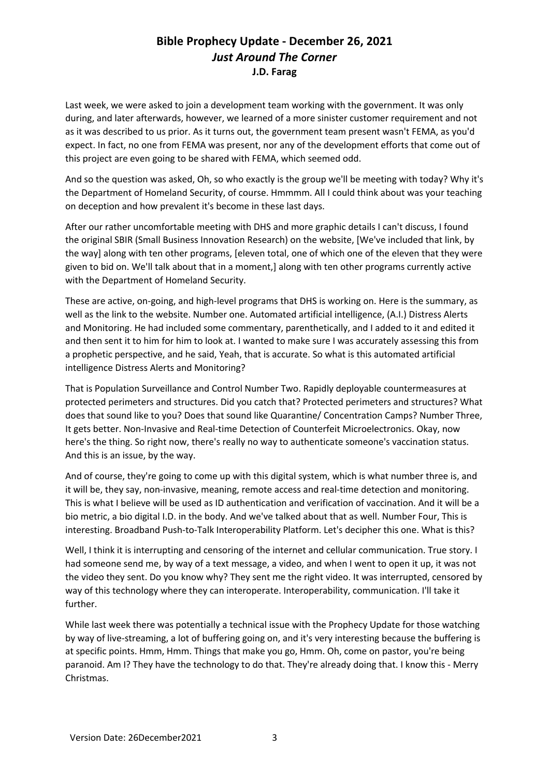Last week, we were asked to join a development team working with the government. It was only during, and later afterwards, however, we learned of a more sinister customer requirement and not as it was described to us prior. As it turns out, the government team present wasn't FEMA, as you'd expect. In fact, no one from FEMA was present, nor any of the development efforts that come out of this project are even going to be shared with FEMA, which seemed odd.

And so the question was asked, Oh, so who exactly is the group we'll be meeting with today? Why it's the Department of Homeland Security, of course. Hmmmm. All I could think about was your teaching on deception and how prevalent it's become in these last days.

After our rather uncomfortable meeting with DHS and more graphic details I can't discuss, I found the original SBIR (Small Business Innovation Research) on the website, [We've included that link, by the way] along with ten other programs, [eleven total, one of which one of the eleven that they were given to bid on. We'll talk about that in a moment,] along with ten other programs currently active with the Department of Homeland Security.

These are active, on-going, and high-level programs that DHS is working on. Here is the summary, as well as the link to the website. Number one. Automated artificial intelligence, (A.I.) Distress Alerts and Monitoring. He had included some commentary, parenthetically, and I added to it and edited it and then sent it to him for him to look at. I wanted to make sure I was accurately assessing this from a prophetic perspective, and he said, Yeah, that is accurate. So what is this automated artificial intelligence Distress Alerts and Monitoring?

That is Population Surveillance and Control Number Two. Rapidly deployable countermeasures at protected perimeters and structures. Did you catch that? Protected perimeters and structures? What does that sound like to you? Does that sound like Quarantine/ Concentration Camps? Number Three, It gets better. Non-Invasive and Real-time Detection of Counterfeit Microelectronics. Okay, now here's the thing. So right now, there's really no way to authenticate someone's vaccination status. And this is an issue, by the way.

And of course, they're going to come up with this digital system, which is what number three is, and it will be, they say, non-invasive, meaning, remote access and real-time detection and monitoring. This is what I believe will be used as ID authentication and verification of vaccination. And it will be a bio metric, a bio digital I.D. in the body. And we've talked about that as well. Number Four, This is interesting. Broadband Push-to-Talk Interoperability Platform. Let's decipher this one. What is this?

Well, I think it is interrupting and censoring of the internet and cellular communication. True story. I had someone send me, by way of a text message, a video, and when I went to open it up, it was not the video they sent. Do you know why? They sent me the right video. It was interrupted, censored by way of this technology where they can interoperate. Interoperability, communication. I'll take it further.

While last week there was potentially a technical issue with the Prophecy Update for those watching by way of live-streaming, a lot of buffering going on, and it's very interesting because the buffering is at specific points. Hmm, Hmm. Things that make you go, Hmm. Oh, come on pastor, you're being paranoid. Am I? They have the technology to do that. They're already doing that. I know this - Merry Christmas.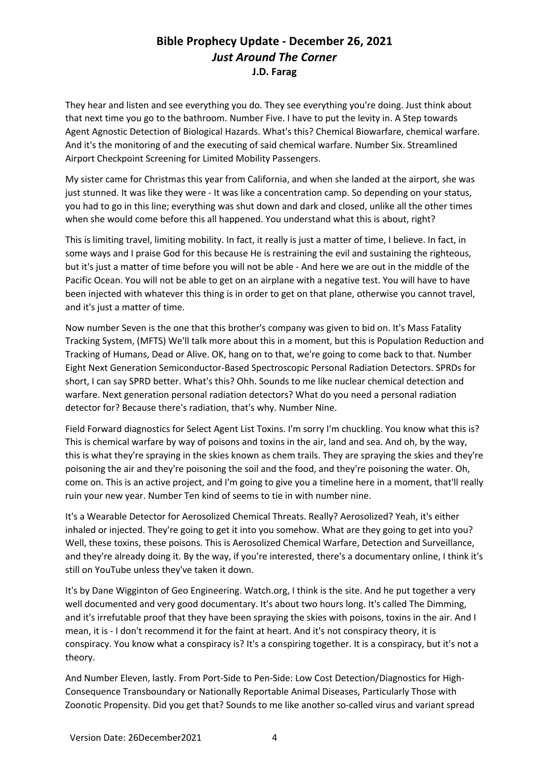They hear and listen and see everything you do. They see everything you're doing. Just think about that next time you go to the bathroom. Number Five. I have to put the levity in. A Step towards Agent Agnostic Detection of Biological Hazards. What's this? Chemical Biowarfare, chemical warfare. And it's the monitoring of and the executing of said chemical warfare. Number Six. Streamlined Airport Checkpoint Screening for Limited Mobility Passengers.

My sister came for Christmas this year from California, and when she landed at the airport, she was just stunned. It was like they were - It was like a concentration camp. So depending on your status, you had to go in this line; everything was shut down and dark and closed, unlike all the other times when she would come before this all happened. You understand what this is about, right?

This is limiting travel, limiting mobility. In fact, it really is just a matter of time, I believe. In fact, in some ways and I praise God for this because He is restraining the evil and sustaining the righteous, but it's just a matter of time before you will not be able - And here we are out in the middle of the Pacific Ocean. You will not be able to get on an airplane with a negative test. You will have to have been injected with whatever this thing is in order to get on that plane, otherwise you cannot travel, and it's just a matter of time.

Now number Seven is the one that this brother's company was given to bid on. It's Mass Fatality Tracking System, (MFTS) We'll talk more about this in a moment, but this is Population Reduction and Tracking of Humans, Dead or Alive. OK, hang on to that, we're going to come back to that. Number Eight Next Generation Semiconductor-Based Spectroscopic Personal Radiation Detectors. SPRDs for short, I can say SPRD better. What's this? Ohh. Sounds to me like nuclear chemical detection and warfare. Next generation personal radiation detectors? What do you need a personal radiation detector for? Because there's radiation, that's why. Number Nine.

Field Forward diagnostics for Select Agent List Toxins. I'm sorry I'm chuckling. You know what this is? This is chemical warfare by way of poisons and toxins in the air, land and sea. And oh, by the way, this is what they're spraying in the skies known as chem trails. They are spraying the skies and they're poisoning the air and they're poisoning the soil and the food, and they're poisoning the water. Oh, come on. This is an active project, and I'm going to give you a timeline here in a moment, that'll really ruin your new year. Number Ten kind of seems to tie in with number nine.

It's a Wearable Detector for Aerosolized Chemical Threats. Really? Aerosolized? Yeah, it's either inhaled or injected. They're going to get it into you somehow. What are they going to get into you? Well, these toxins, these poisons. This is Aerosolized Chemical Warfare, Detection and Surveillance, and they're already doing it. By the way, if you're interested, there's a documentary online, I think it's still on YouTube unless they've taken it down.

It's by Dane Wigginton of Geo Engineering. Watch.org, I think is the site. And he put together a very well documented and very good documentary. It's about two hours long. It's called The Dimming, and it's irrefutable proof that they have been spraying the skies with poisons, toxins in the air. And I mean, it is - I don't recommend it for the faint at heart. And it's not conspiracy theory, it is conspiracy. You know what a conspiracy is? It's a conspiring together. It is a conspiracy, but it's not a theory.

And Number Eleven, lastly. From Port-Side to Pen-Side: Low Cost Detection/Diagnostics for High-Consequence Transboundary or Nationally Reportable Animal Diseases, Particularly Those with Zoonotic Propensity. Did you get that? Sounds to me like another so-called virus and variant spread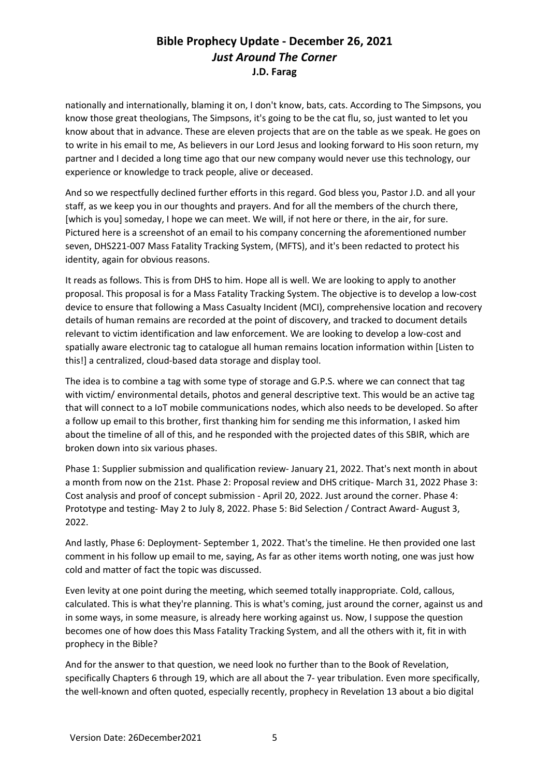nationally and internationally, blaming it on, I don't know, bats, cats. According to The Simpsons, you know those great theologians, The Simpsons, it's going to be the cat flu, so, just wanted to let you know about that in advance. These are eleven projects that are on the table as we speak. He goes on to write in his email to me, As believers in our Lord Jesus and looking forward to His soon return, my partner and I decided a long time ago that our new company would never use this technology, our experience or knowledge to track people, alive or deceased.

And so we respectfully declined further efforts in this regard. God bless you, Pastor J.D. and all your staff, as we keep you in our thoughts and prayers. And for all the members of the church there, [which is you] someday, I hope we can meet. We will, if not here or there, in the air, for sure. Pictured here is a screenshot of an email to his company concerning the aforementioned number seven, DHS221-007 Mass Fatality Tracking System, (MFTS), and it's been redacted to protect his identity, again for obvious reasons.

It reads as follows. This is from DHS to him. Hope all is well. We are looking to apply to another proposal. This proposal is for a Mass Fatality Tracking System. The objective is to develop a low-cost device to ensure that following a Mass Casualty Incident (MCI), comprehensive location and recovery details of human remains are recorded at the point of discovery, and tracked to document details relevant to victim identification and law enforcement. We are looking to develop a low-cost and spatially aware electronic tag to catalogue all human remains location information within [Listen to this!] a centralized, cloud-based data storage and display tool.

The idea is to combine a tag with some type of storage and G.P.S. where we can connect that tag with victim/ environmental details, photos and general descriptive text. This would be an active tag that will connect to a IoT mobile communications nodes, which also needs to be developed. So after a follow up email to this brother, first thanking him for sending me this information, I asked him about the timeline of all of this, and he responded with the projected dates of this SBIR, which are broken down into six various phases.

Phase 1: Supplier submission and qualification review- January 21, 2022. That's next month in about a month from now on the 21st. Phase 2: Proposal review and DHS critique- March 31, 2022 Phase 3: Cost analysis and proof of concept submission - April 20, 2022. Just around the corner. Phase 4: Prototype and testing- May 2 to July 8, 2022. Phase 5: Bid Selection / Contract Award- August 3, 2022.

And lastly, Phase 6: Deployment- September 1, 2022. That's the timeline. He then provided one last comment in his follow up email to me, saying, As far as other items worth noting, one was just how cold and matter of fact the topic was discussed.

Even levity at one point during the meeting, which seemed totally inappropriate. Cold, callous, calculated. This is what they're planning. This is what's coming, just around the corner, against us and in some ways, in some measure, is already here working against us. Now, I suppose the question becomes one of how does this Mass Fatality Tracking System, and all the others with it, fit in with prophecy in the Bible?

And for the answer to that question, we need look no further than to the Book of Revelation, specifically Chapters 6 through 19, which are all about the 7- year tribulation. Even more specifically, the well-known and often quoted, especially recently, prophecy in Revelation 13 about a bio digital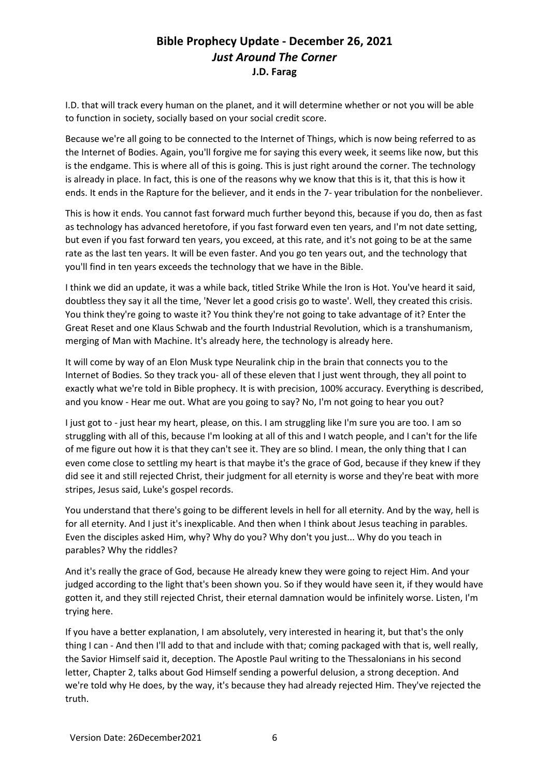I.D. that will track every human on the planet, and it will determine whether or not you will be able to function in society, socially based on your social credit score.

Because we're all going to be connected to the Internet of Things, which is now being referred to as the Internet of Bodies. Again, you'll forgive me for saying this every week, it seems like now, but this is the endgame. This is where all of this is going. This is just right around the corner. The technology is already in place. In fact, this is one of the reasons why we know that this is it, that this is how it ends. It ends in the Rapture for the believer, and it ends in the 7- year tribulation for the nonbeliever.

This is how it ends. You cannot fast forward much further beyond this, because if you do, then as fast as technology has advanced heretofore, if you fast forward even ten years, and I'm not date setting, but even if you fast forward ten years, you exceed, at this rate, and it's not going to be at the same rate as the last ten years. It will be even faster. And you go ten years out, and the technology that you'll find in ten years exceeds the technology that we have in the Bible.

I think we did an update, it was a while back, titled Strike While the Iron is Hot. You've heard it said, doubtless they say it all the time, 'Never let a good crisis go to waste'. Well, they created this crisis. You think they're going to waste it? You think they're not going to take advantage of it? Enter the Great Reset and one Klaus Schwab and the fourth Industrial Revolution, which is a transhumanism, merging of Man with Machine. It's already here, the technology is already here.

It will come by way of an Elon Musk type Neuralink chip in the brain that connects you to the Internet of Bodies. So they track you- all of these eleven that I just went through, they all point to exactly what we're told in Bible prophecy. It is with precision, 100% accuracy. Everything is described, and you know - Hear me out. What are you going to say? No, I'm not going to hear you out?

I just got to - just hear my heart, please, on this. I am struggling like I'm sure you are too. I am so struggling with all of this, because I'm looking at all of this and I watch people, and I can't for the life of me figure out how it is that they can't see it. They are so blind. I mean, the only thing that I can even come close to settling my heart is that maybe it's the grace of God, because if they knew if they did see it and still rejected Christ, their judgment for all eternity is worse and they're beat with more stripes, Jesus said, Luke's gospel records.

You understand that there's going to be different levels in hell for all eternity. And by the way, hell is for all eternity. And I just it's inexplicable. And then when I think about Jesus teaching in parables. Even the disciples asked Him, why? Why do you? Why don't you just... Why do you teach in parables? Why the riddles?

And it's really the grace of God, because He already knew they were going to reject Him. And your judged according to the light that's been shown you. So if they would have seen it, if they would have gotten it, and they still rejected Christ, their eternal damnation would be infinitely worse. Listen, I'm trying here.

If you have a better explanation, I am absolutely, very interested in hearing it, but that's the only thing I can - And then I'll add to that and include with that; coming packaged with that is, well really, the Savior Himself said it, deception. The Apostle Paul writing to the Thessalonians in his second letter, Chapter 2, talks about God Himself sending a powerful delusion, a strong deception. And we're told why He does, by the way, it's because they had already rejected Him. They've rejected the truth.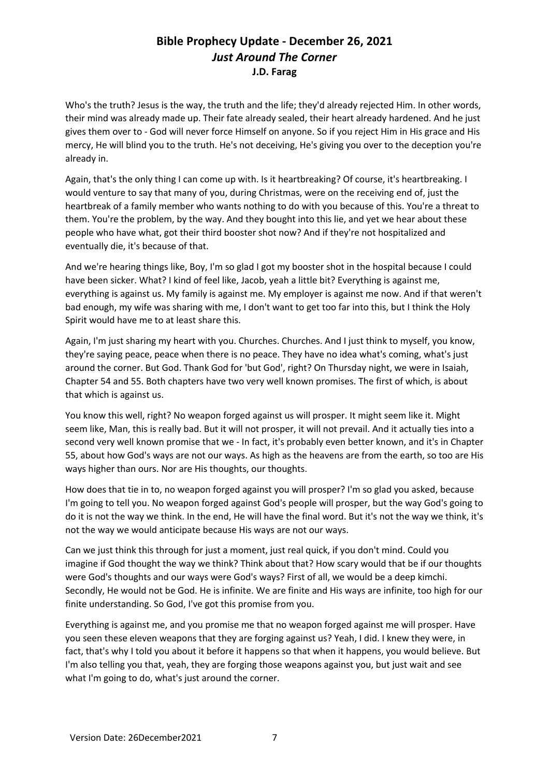Who's the truth? Jesus is the way, the truth and the life; they'd already rejected Him. In other words, their mind was already made up. Their fate already sealed, their heart already hardened. And he just gives them over to - God will never force Himself on anyone. So if you reject Him in His grace and His mercy, He will blind you to the truth. He's not deceiving, He's giving you over to the deception you're already in.

Again, that's the only thing I can come up with. Is it heartbreaking? Of course, it's heartbreaking. I would venture to say that many of you, during Christmas, were on the receiving end of, just the heartbreak of a family member who wants nothing to do with you because of this. You're a threat to them. You're the problem, by the way. And they bought into this lie, and yet we hear about these people who have what, got their third booster shot now? And if they're not hospitalized and eventually die, it's because of that.

And we're hearing things like, Boy, I'm so glad I got my booster shot in the hospital because I could have been sicker. What? I kind of feel like, Jacob, yeah a little bit? Everything is against me, everything is against us. My family is against me. My employer is against me now. And if that weren't bad enough, my wife was sharing with me, I don't want to get too far into this, but I think the Holy Spirit would have me to at least share this.

Again, I'm just sharing my heart with you. Churches. Churches. And I just think to myself, you know, they're saying peace, peace when there is no peace. They have no idea what's coming, what's just around the corner. But God. Thank God for 'but God', right? On Thursday night, we were in Isaiah, Chapter 54 and 55. Both chapters have two very well known promises. The first of which, is about that which is against us.

You know this well, right? No weapon forged against us will prosper. It might seem like it. Might seem like, Man, this is really bad. But it will not prosper, it will not prevail. And it actually ties into a second very well known promise that we - In fact, it's probably even better known, and it's in Chapter 55, about how God's ways are not our ways. As high as the heavens are from the earth, so too are His ways higher than ours. Nor are His thoughts, our thoughts.

How does that tie in to, no weapon forged against you will prosper? I'm so glad you asked, because I'm going to tell you. No weapon forged against God's people will prosper, but the way God's going to do it is not the way we think. In the end, He will have the final word. But it's not the way we think, it's not the way we would anticipate because His ways are not our ways.

Can we just think this through for just a moment, just real quick, if you don't mind. Could you imagine if God thought the way we think? Think about that? How scary would that be if our thoughts were God's thoughts and our ways were God's ways? First of all, we would be a deep kimchi. Secondly, He would not be God. He is infinite. We are finite and His ways are infinite, too high for our finite understanding. So God, I've got this promise from you.

Everything is against me, and you promise me that no weapon forged against me will prosper. Have you seen these eleven weapons that they are forging against us? Yeah, I did. I knew they were, in fact, that's why I told you about it before it happens so that when it happens, you would believe. But I'm also telling you that, yeah, they are forging those weapons against you, but just wait and see what I'm going to do, what's just around the corner.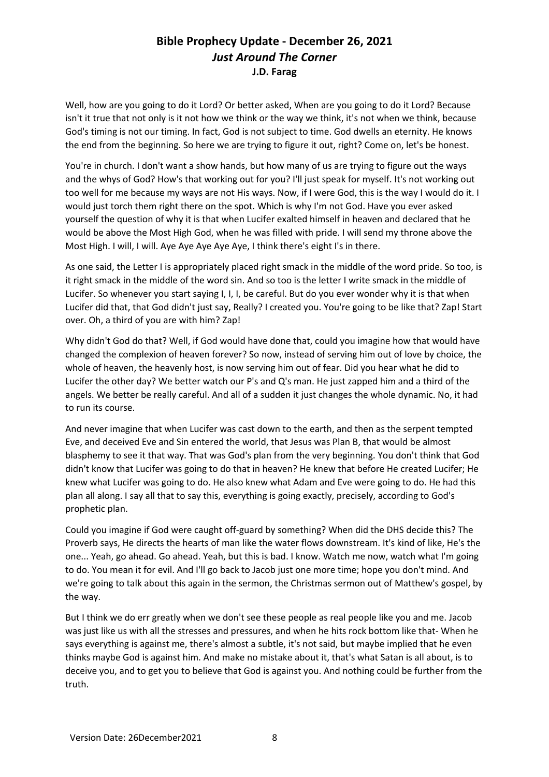Well, how are you going to do it Lord? Or better asked, When are you going to do it Lord? Because isn't it true that not only is it not how we think or the way we think, it's not when we think, because God's timing is not our timing. In fact, God is not subject to time. God dwells an eternity. He knows the end from the beginning. So here we are trying to figure it out, right? Come on, let's be honest.

You're in church. I don't want a show hands, but how many of us are trying to figure out the ways and the whys of God? How's that working out for you? I'll just speak for myself. It's not working out too well for me because my ways are not His ways. Now, if I were God, this is the way I would do it. I would just torch them right there on the spot. Which is why I'm not God. Have you ever asked yourself the question of why it is that when Lucifer exalted himself in heaven and declared that he would be above the Most High God, when he was filled with pride. I will send my throne above the Most High. I will, I will. Aye Aye Aye Aye Aye, I think there's eight I's in there.

As one said, the Letter I is appropriately placed right smack in the middle of the word pride. So too, is it right smack in the middle of the word sin. And so too is the letter I write smack in the middle of Lucifer. So whenever you start saying I, I, I, be careful. But do you ever wonder why it is that when Lucifer did that, that God didn't just say, Really? I created you. You're going to be like that? Zap! Start over. Oh, a third of you are with him? Zap!

Why didn't God do that? Well, if God would have done that, could you imagine how that would have changed the complexion of heaven forever? So now, instead of serving him out of love by choice, the whole of heaven, the heavenly host, is now serving him out of fear. Did you hear what he did to Lucifer the other day? We better watch our P's and Q's man. He just zapped him and a third of the angels. We better be really careful. And all of a sudden it just changes the whole dynamic. No, it had to run its course.

And never imagine that when Lucifer was cast down to the earth, and then as the serpent tempted Eve, and deceived Eve and Sin entered the world, that Jesus was Plan B, that would be almost blasphemy to see it that way. That was God's plan from the very beginning. You don't think that God didn't know that Lucifer was going to do that in heaven? He knew that before He created Lucifer; He knew what Lucifer was going to do. He also knew what Adam and Eve were going to do. He had this plan all along. I say all that to say this, everything is going exactly, precisely, according to God's prophetic plan.

Could you imagine if God were caught off-guard by something? When did the DHS decide this? The Proverb says, He directs the hearts of man like the water flows downstream. It's kind of like, He's the one... Yeah, go ahead. Go ahead. Yeah, but this is bad. I know. Watch me now, watch what I'm going to do. You mean it for evil. And I'll go back to Jacob just one more time; hope you don't mind. And we're going to talk about this again in the sermon, the Christmas sermon out of Matthew's gospel, by the way.

But I think we do err greatly when we don't see these people as real people like you and me. Jacob was just like us with all the stresses and pressures, and when he hits rock bottom like that- When he says everything is against me, there's almost a subtle, it's not said, but maybe implied that he even thinks maybe God is against him. And make no mistake about it, that's what Satan is all about, is to deceive you, and to get you to believe that God is against you. And nothing could be further from the truth.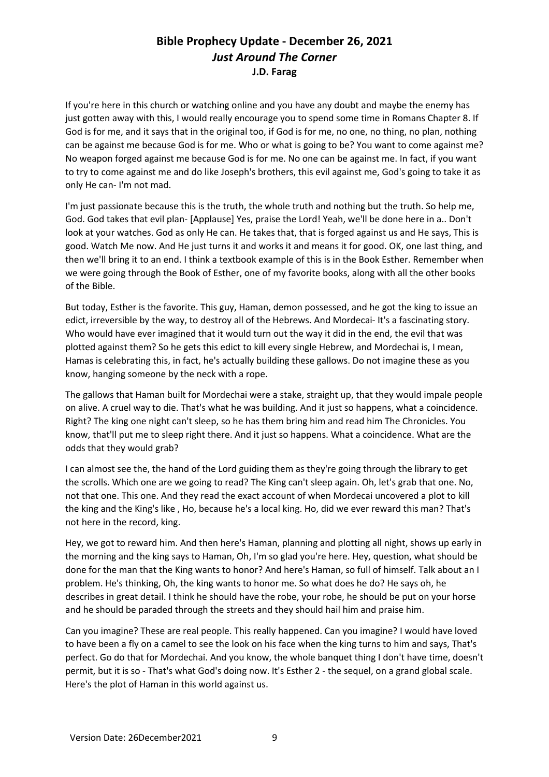If you're here in this church or watching online and you have any doubt and maybe the enemy has just gotten away with this, I would really encourage you to spend some time in Romans Chapter 8. If God is for me, and it says that in the original too, if God is for me, no one, no thing, no plan, nothing can be against me because God is for me. Who or what is going to be? You want to come against me? No weapon forged against me because God is for me. No one can be against me. In fact, if you want to try to come against me and do like Joseph's brothers, this evil against me, God's going to take it as only He can- I'm not mad.

I'm just passionate because this is the truth, the whole truth and nothing but the truth. So help me, God. God takes that evil plan- [Applause] Yes, praise the Lord! Yeah, we'll be done here in a.. Don't look at your watches. God as only He can. He takes that, that is forged against us and He says, This is good. Watch Me now. And He just turns it and works it and means it for good. OK, one last thing, and then we'll bring it to an end. I think a textbook example of this is in the Book Esther. Remember when we were going through the Book of Esther, one of my favorite books, along with all the other books of the Bible.

But today, Esther is the favorite. This guy, Haman, demon possessed, and he got the king to issue an edict, irreversible by the way, to destroy all of the Hebrews. And Mordecai- It's a fascinating story. Who would have ever imagined that it would turn out the way it did in the end, the evil that was plotted against them? So he gets this edict to kill every single Hebrew, and Mordechai is, I mean, Hamas is celebrating this, in fact, he's actually building these gallows. Do not imagine these as you know, hanging someone by the neck with a rope.

The gallows that Haman built for Mordechai were a stake, straight up, that they would impale people on alive. A cruel way to die. That's what he was building. And it just so happens, what a coincidence. Right? The king one night can't sleep, so he has them bring him and read him The Chronicles. You know, that'll put me to sleep right there. And it just so happens. What a coincidence. What are the odds that they would grab?

I can almost see the, the hand of the Lord guiding them as they're going through the library to get the scrolls. Which one are we going to read? The King can't sleep again. Oh, let's grab that one. No, not that one. This one. And they read the exact account of when Mordecai uncovered a plot to kill the king and the King's like , Ho, because he's a local king. Ho, did we ever reward this man? That's not here in the record, king.

Hey, we got to reward him. And then here's Haman, planning and plotting all night, shows up early in the morning and the king says to Haman, Oh, I'm so glad you're here. Hey, question, what should be done for the man that the King wants to honor? And here's Haman, so full of himself. Talk about an I problem. He's thinking, Oh, the king wants to honor me. So what does he do? He says oh, he describes in great detail. I think he should have the robe, your robe, he should be put on your horse and he should be paraded through the streets and they should hail him and praise him.

Can you imagine? These are real people. This really happened. Can you imagine? I would have loved to have been a fly on a camel to see the look on his face when the king turns to him and says, That's perfect. Go do that for Mordechai. And you know, the whole banquet thing I don't have time, doesn't permit, but it is so - That's what God's doing now. It's Esther 2 - the sequel, on a grand global scale. Here's the plot of Haman in this world against us.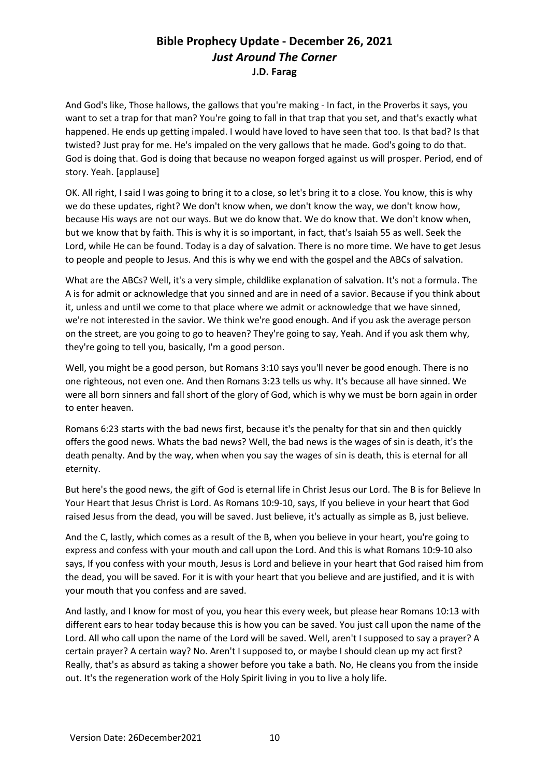And God's like, Those hallows, the gallows that you're making - In fact, in the Proverbs it says, you want to set a trap for that man? You're going to fall in that trap that you set, and that's exactly what happened. He ends up getting impaled. I would have loved to have seen that too. Is that bad? Is that twisted? Just pray for me. He's impaled on the very gallows that he made. God's going to do that. God is doing that. God is doing that because no weapon forged against us will prosper. Period, end of story. Yeah. [applause]

OK. All right, I said I was going to bring it to a close, so let's bring it to a close. You know, this is why we do these updates, right? We don't know when, we don't know the way, we don't know how, because His ways are not our ways. But we do know that. We do know that. We don't know when, but we know that by faith. This is why it is so important, in fact, that's Isaiah 55 as well. Seek the Lord, while He can be found. Today is a day of salvation. There is no more time. We have to get Jesus to people and people to Jesus. And this is why we end with the gospel and the ABCs of salvation.

What are the ABCs? Well, it's a very simple, childlike explanation of salvation. It's not a formula. The A is for admit or acknowledge that you sinned and are in need of a savior. Because if you think about it, unless and until we come to that place where we admit or acknowledge that we have sinned, we're not interested in the savior. We think we're good enough. And if you ask the average person on the street, are you going to go to heaven? They're going to say, Yeah. And if you ask them why, they're going to tell you, basically, I'm a good person.

Well, you might be a good person, but Romans 3:10 says you'll never be good enough. There is no one righteous, not even one. And then Romans 3:23 tells us why. It's because all have sinned. We were all born sinners and fall short of the glory of God, which is why we must be born again in order to enter heaven.

Romans 6:23 starts with the bad news first, because it's the penalty for that sin and then quickly offers the good news. Whats the bad news? Well, the bad news is the wages of sin is death, it's the death penalty. And by the way, when when you say the wages of sin is death, this is eternal for all eternity.

But here's the good news, the gift of God is eternal life in Christ Jesus our Lord. The B is for Believe In Your Heart that Jesus Christ is Lord. As Romans 10:9-10, says, If you believe in your heart that God raised Jesus from the dead, you will be saved. Just believe, it's actually as simple as B, just believe.

And the C, lastly, which comes as a result of the B, when you believe in your heart, you're going to express and confess with your mouth and call upon the Lord. And this is what Romans 10:9-10 also says, If you confess with your mouth, Jesus is Lord and believe in your heart that God raised him from the dead, you will be saved. For it is with your heart that you believe and are justified, and it is with your mouth that you confess and are saved.

And lastly, and I know for most of you, you hear this every week, but please hear Romans 10:13 with different ears to hear today because this is how you can be saved. You just call upon the name of the Lord. All who call upon the name of the Lord will be saved. Well, aren't I supposed to say a prayer? A certain prayer? A certain way? No. Aren't I supposed to, or maybe I should clean up my act first? Really, that's as absurd as taking a shower before you take a bath. No, He cleans you from the inside out. It's the regeneration work of the Holy Spirit living in you to live a holy life.